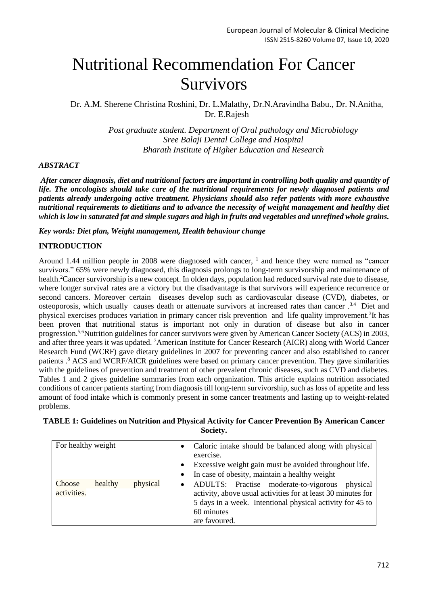# Nutritional Recommendation For Cancer Survivors

Dr. A.M. Sherene Christina Roshini, Dr. L.Malathy, Dr.N.Aravindha Babu., Dr. N.Anitha, Dr. E.Rajesh

> *Post graduate student. Department of Oral pathology and Microbiology Sree Balaji Dental College and Hospital Bharath Institute of Higher Education and Research*

# *ABSTRACT*

*After cancer diagnosis, diet and nutritional factors are important in controlling both quality and quantity of life. The oncologists should take care of the nutritional requirements for newly diagnosed patients and patients already undergoing active treatment. Physicians should also refer patients with more exhaustive nutritional requirements to dietitians and to advance the necessity of weight management and healthy diet which is low in saturated fat and simple sugars and high in fruits and vegetables and unrefined whole grains.*

*Key words: Diet plan, Weight management, Health behaviour change* 

# **INTRODUCTION**

Around 1.44 million people in 2008 were diagnosed with cancer, <sup>1</sup> and hence they were named as "cancer survivors." 65% were newly diagnosed, this diagnosis prolongs to long-term survivorship and maintenance of health. <sup>2</sup>Cancer survivorship is a new concept. In olden days, population had reduced survival rate due to disease, where longer survival rates are a victory but the disadvantage is that survivors will experience recurrence or second cancers. Moreover certain diseases develop such as cardiovascular disease (CVD), diabetes, or osteoporosis, which usually causes death or attenuate survivors at increased rates than cancer . 3.4 Diet and physical exercises produces variation in primary cancer risk prevention and life quality improvement.<sup>3</sup>It has been proven that nutritional status is important not only in duration of disease but also in cancer progression.5,6Nutrition guidelines for cancer survivors were given by American Cancer Society (ACS) in 2003, and after three years it was updated. <sup>7</sup>American Institute for Cancer Research (AICR) along with World Cancer Research Fund (WCRF) gave dietary guidelines in 2007 for preventing cancer and also established to cancer patients .<sup>8</sup> ACS and WCRF/AICR guidelines were based on primary cancer prevention. They gave similarities with the guidelines of prevention and treatment of other prevalent chronic diseases, such as CVD and diabetes. Tables 1 and 2 gives guideline summaries from each organization. This article explains nutrition associated conditions of cancer patients starting from diagnosis till long-term survivorship, such as loss of appetite and less amount of food intake which is commonly present in some cancer treatments and lasting up to weight-related problems.

| For healthy weight                           | Caloric intake should be balanced along with physical<br>$\bullet$<br>exercise.                                                                                                                                            |
|----------------------------------------------|----------------------------------------------------------------------------------------------------------------------------------------------------------------------------------------------------------------------------|
|                                              | Excessive weight gain must be avoided throughout life.<br>٠                                                                                                                                                                |
|                                              | In case of obesity, maintain a healthy weight<br>٠                                                                                                                                                                         |
| physical<br>healthy<br>Choose<br>activities. | ADULTS: Practise moderate-to-vigorous<br>physical<br>$\bullet$<br>activity, above usual activities for at least 30 minutes for<br>5 days in a week. Intentional physical activity for 45 to<br>60 minutes<br>are favoured. |

## **TABLE 1: Guidelines on Nutrition and Physical Activity for Cancer Prevention By American Cancer Society.**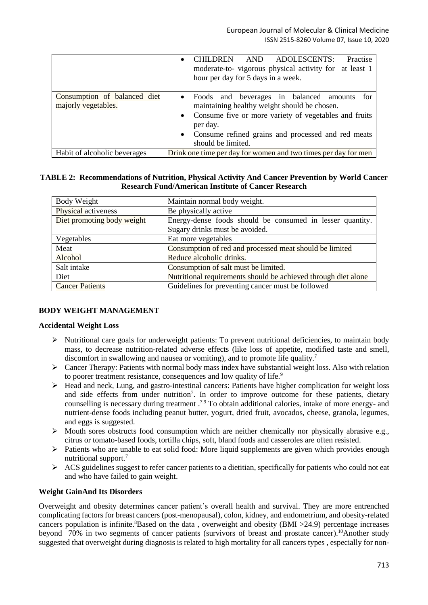|                                                     | <b>CHILDREN</b><br><b>ADOLESCENTS:</b><br>Practise<br>AND<br>moderate-to- vigorous physical activity for at least 1<br>hour per day for 5 days in a week.                                                                                                                                 |
|-----------------------------------------------------|-------------------------------------------------------------------------------------------------------------------------------------------------------------------------------------------------------------------------------------------------------------------------------------------|
| Consumption of balanced diet<br>majorly vegetables. | beverages in balanced amounts<br>Foods and<br>$\bullet$<br>for<br>maintaining healthy weight should be chosen.<br>Consume five or more variety of vegetables and fruits<br>$\bullet$<br>per day.<br>Consume refined grains and processed and red meats<br>$\bullet$<br>should be limited. |
| Habit of alcoholic beverages                        | Drink one time per day for women and two times per day for men                                                                                                                                                                                                                            |

## **TABLE 2: Recommendations of Nutrition, Physical Activity And Cancer Prevention by World Cancer Research Fund/American Institute of Cancer Research**

| Body Weight                | Maintain normal body weight.                                   |
|----------------------------|----------------------------------------------------------------|
| Physical activeness        | Be physically active                                           |
| Diet promoting body weight | Energy-dense foods should be consumed in lesser quantity.      |
|                            | Sugary drinks must be avoided.                                 |
| Vegetables                 | Eat more vegetables                                            |
| Meat                       | Consumption of red and processed meat should be limited        |
| Alcohol                    | Reduce alcoholic drinks.                                       |
| Salt intake                | Consumption of salt must be limited.                           |
| Diet                       | Nutritional requirements should be achieved through diet alone |
| <b>Cancer Patients</b>     | Guidelines for preventing cancer must be followed              |

# **BODY WEIGHT MANAGEMENT**

#### **Accidental Weight Loss**

- $\triangleright$  Nutritional care goals for underweight patients: To prevent nutritional deficiencies, to maintain body mass, to decrease nutrition-related adverse effects (like loss of appetite, modified taste and smell, discomfort in swallowing and nausea or vomiting), and to promote life quality.<sup>7</sup>
- $\triangleright$  Cancer Therapy: Patients with normal body mass index have substantial weight loss. Also with relation to poorer treatment resistance, consequences and low quality of life.<sup>9</sup>
- $\triangleright$  Head and neck, Lung, and gastro-intestinal cancers: Patients have higher complication for weight loss and side effects from under nutrition<sup>7</sup>. In order to improve outcome for these patients, dietary counselling is necessary during treatment .<sup>7,9</sup> To obtain additional calories, intake of more energy- and nutrient-dense foods including peanut butter, yogurt, dried fruit, avocados, cheese, granola, legumes, and eggs is suggested.
- $\triangleright$  Mouth sores obstructs food consumption which are neither chemically nor physically abrasive e.g., citrus or tomato-based foods, tortilla chips, soft, bland foods and casseroles are often resisted.
- $\triangleright$  Patients who are unable to eat solid food: More liquid supplements are given which provides enough nutritional support.<sup>7</sup>
- $\triangleright$  ACS guidelines suggest to refer cancer patients to a dietitian, specifically for patients who could not eat and who have failed to gain weight.

# **Weight GainAnd Its Disorders**

Overweight and obesity determines cancer patient's overall health and survival. They are more entrenched complicating factors for breast cancers (post-menopausal), colon, kidney, and endometrium, and obesity-related cancers population is infinite.<sup>8</sup>Based on the data, overweight and obesity (BMI >24.9) percentage increases beyond 70% in two segments of cancer patients (survivors of breast and prostate cancer).<sup>10</sup>Another study suggested that overweight during diagnosis is related to high mortality for all cancers types , especially for non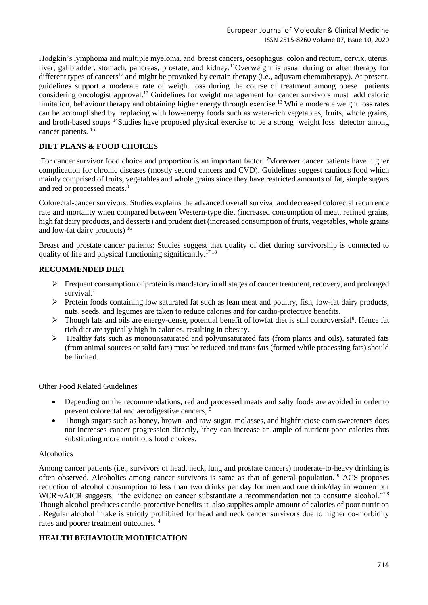Hodgkin's lymphoma and multiple myeloma, and breast cancers, oesophagus, colon and rectum, cervix, uterus, liver, gallbladder, stomach, pancreas, prostate, and kidney.<sup>11</sup>Overweight is usual during or after therapy for different types of cancers<sup>12</sup> and might be provoked by certain therapy (i.e., adjuvant chemotherapy). At present, guidelines support a moderate rate of weight loss during the course of treatment among obese patients considering oncologist approval.<sup>12</sup> Guidelines for weight management for cancer survivors must add caloric limitation, behaviour therapy and obtaining higher energy through exercise.<sup>13</sup> While moderate weight loss rates can be accomplished by replacing with low-energy foods such as water-rich vegetables, fruits, whole grains, and broth-based soups <sup>14</sup>Studies have proposed physical exercise to be a strong weight loss detector among cancer patients. 15

# **DIET PLANS & FOOD CHOICES**

For cancer survivor food choice and proportion is an important factor. <sup>7</sup>Moreover cancer patients have higher complication for chronic diseases (mostly second cancers and CVD). Guidelines suggest cautious food which mainly comprised of fruits, vegetables and whole grains since they have restricted amounts of fat, simple sugars and red or processed meats.<sup>8</sup>

Colorectal-cancer survivors: Studies explains the advanced overall survival and decreased colorectal recurrence rate and mortality when compared between Western-type diet (increased consumption of meat, refined grains, high fat dairy products, and desserts) and prudent diet (increased consumption of fruits, vegetables, whole grains and low-fat dairy products) <sup>16</sup>

Breast and prostate cancer patients: Studies suggest that quality of diet during survivorship is connected to quality of life and physical functioning significantly.<sup>17,18</sup>

## **RECOMMENDED DIET**

- $\triangleright$  Frequent consumption of protein is mandatory in all stages of cancer treatment, recovery, and prolonged survival.<sup>7</sup>
- Protein foods containing low saturated fat such as lean meat and poultry, fish, low-fat dairy products, nuts, seeds, and legumes are taken to reduce calories and for cardio-protective benefits.
- > Though fats and oils are energy-dense, potential benefit of lowfat diet is still controversial<sup>8</sup>. Hence fat rich diet are typically high in calories, resulting in obesity.
- $\triangleright$  Healthy fats such as monounsaturated and polyunsaturated fats (from plants and oils), saturated fats (from animal sources or solid fats) must be reduced and trans fats (formed while processing fats) should be limited.

Other Food Related Guidelines

- Depending on the recommendations, red and processed meats and salty foods are avoided in order to prevent colorectal and aerodigestive cancers, <sup>8</sup>
- Though sugars such as honey, brown- and raw-sugar, molasses, and highfructose corn sweeteners does not increases cancer progression directly, <sup>7</sup> they can increase an ample of nutrient-poor calories thus substituting more nutritious food choices.

#### Alcoholics

Among cancer patients (i.e., survivors of head, neck, lung and prostate cancers) moderate-to-heavy drinking is often observed. Alcoholics among cancer survivors is same as that of general population.<sup>19</sup> ACS proposes reduction of alcohol consumption to less than two drinks per day for men and one drink/day in women but WCRF/AICR suggests "the evidence on cancer substantiate a recommendation not to consume alcohol."<sup>7,8</sup> Though alcohol produces cardio-protective benefits it also supplies ample amount of calories of poor nutrition . Regular alcohol intake is strictly prohibited for head and neck cancer survivors due to higher co-morbidity rates and poorer treatment outcomes. <sup>4</sup>

# **HEALTH BEHAVIOUR MODIFICATION**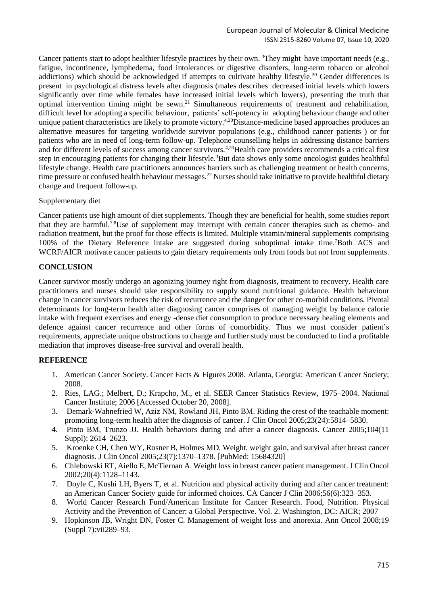Cancer patients start to adopt healthier lifestyle practices by their own. <sup>3</sup>They might have important needs (e.g., fatigue, incontinence, lymphedema, food intolerances or digestive disorders, long-term tobacco or alcohol addictions) which should be acknowledged if attempts to cultivate healthy lifestyle.<sup>20</sup> Gender differences is present in psychological distress levels after diagnosis (males describes decreased initial levels which lowers significantly over time while females have increased initial levels which lowers), presenting the truth that optimal intervention timing might be sewn. <sup>21</sup> Simultaneous requirements of treatment and rehabilitation, difficult level for adopting a specific behaviour, patients' self-potency in adopting behaviour change and other unique patient characteristics are likely to promote victory.<sup>4,20</sup>Distance-medicine based approaches produces an alternative measures for targeting worldwide survivor populations (e.g., childhood cancer patients ) or for patients who are in need of long-term follow-up. Telephone counselling helps in addressing distance barriers and for different levels of success among cancer survivors.<sup>4,20</sup>Health care providers recommends a critical first step in encouraging patients for changing their lifestyle.<sup>3</sup>But data shows only some oncologist guides healthful lifestyle change. Health care practitioners announces barriers such as challenging treatment or health concerns, time pressure or confused health behaviour messages.<sup>22</sup> Nurses should take initiative to provide healthful dietary change and frequent follow-up.

## Supplementary diet

Cancer patients use high amount of diet supplements. Though they are beneficial for health, some studies report that they are harmful.7,8Use of supplement may interrupt with certain cancer therapies such as chemo- and radiation treatment, but the proof for those effects is limited. Multiple vitamin/mineral supplements comprising 100% of the Dietary Reference Intake are suggested during suboptimal intake time. <sup>7</sup>Both ACS and WCRF/AICR motivate cancer patients to gain dietary requirements only from foods but not from supplements.

# **CONCLUSION**

Cancer survivor mostly undergo an agonizing journey right from diagnosis, treatment to recovery. Health care practitioners and nurses should take responsibility to supply sound nutritional guidance. Health behaviour change in cancer survivors reduces the risk of recurrence and the danger for other co-morbid conditions. Pivotal determinants for long-term health after diagnosing cancer comprises of managing weight by balance calorie intake with frequent exercises and energy -dense diet consumption to produce necessary healing elements and defence against cancer recurrence and other forms of comorbidity. Thus we must consider patient's requirements, appreciate unique obstructions to change and further study must be conducted to find a profitable mediation that improves disease-free survival and overall health.

# **REFERENCE**

- 1. American Cancer Society. Cancer Facts & Figures 2008. Atlanta, Georgia: American Cancer Society; 2008.
- 2. Ries, LAG.; Melbert, D.; Krapcho, M., et al. SEER Cancer Statistics Review, 1975–2004. National Cancer Institute; 2006 [Accessed October 20, 2008].
- 3. Demark-Wahnefried W, Aziz NM, Rowland JH, Pinto BM. Riding the crest of the teachable moment: promoting long-term health after the diagnosis of cancer. J Clin Oncol 2005;23(24):5814–5830.
- 4. Pinto BM, Trunzo JJ. Health behaviors during and after a cancer diagnosis. Cancer 2005;104(11 Suppl): 2614–2623.
- 5. Kroenke CH, Chen WY, Rosner B, Holmes MD. Weight, weight gain, and survival after breast cancer diagnosis. J Clin Oncol 2005;23(7):1370–1378. [PubMed: 15684320]
- 6. Chlebowski RT, Aiello E, McTiernan A. Weight loss in breast cancer patient management. J Clin Oncol 2002;20(4):1128–1143.
- 7. Doyle C, Kushi LH, Byers T, et al. Nutrition and physical activity during and after cancer treatment: an American Cancer Society guide for informed choices. CA Cancer J Clin 2006;56(6):323–353.
- 8. World Cancer Research Fund/American Institute for Cancer Research. Food, Nutrition. Physical Activity and the Prevention of Cancer: a Global Perspective. Vol. 2. Washington, DC: AICR; 2007
- 9. Hopkinson JB, Wright DN, Foster C. Management of weight loss and anorexia. Ann Oncol 2008;19 (Suppl 7):vii289–93.